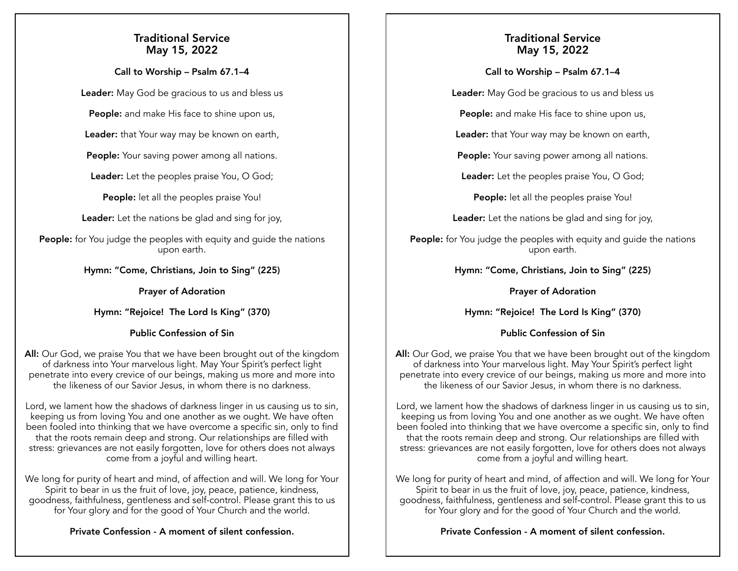# Traditional Service May 15, 2022

### Call to Worship – Psalm 67.1–4

Leader: May God be gracious to us and bless us

People: and make His face to shine upon us,

Leader: that Your way may be known on earth,

People: Your saving power among all nations.

**Leader:** Let the peoples praise You, O God;

People: let all the peoples praise You!

Leader: Let the nations be glad and sing for joy,

People: for You judge the peoples with equity and guide the nations upon earth.

Hymn: "Come, Christians, Join to Sing" (225)

## Prayer of Adoration

Hymn: "Rejoice! The Lord Is King" (370)

## Public Confession of Sin

All: Our God, we praise You that we have been brought out of the kingdom of darkness into Your marvelous light. May Your Spirit's perfect light penetrate into every crevice of our beings, making us more and more into the likeness of our Savior Jesus, in whom there is no darkness.

Lord, we lament how the shadows of darkness linger in us causing us to sin, keeping us from loving You and one another as we ought. We have often been fooled into thinking that we have overcome a specific sin, only to find that the roots remain deep and strong. Our relationships are filled with stress: grievances are not easily forgotten, love for others does not always come from a joyful and willing heart.

We long for purity of heart and mind, of affection and will. We long for Your Spirit to bear in us the fruit of love, joy, peace, patience, kindness, goodness, faithfulness, gentleness and self-control. Please grant this to us for Your glory and for the good of Your Church and the world.

# Private Confession - A moment of silent confession.